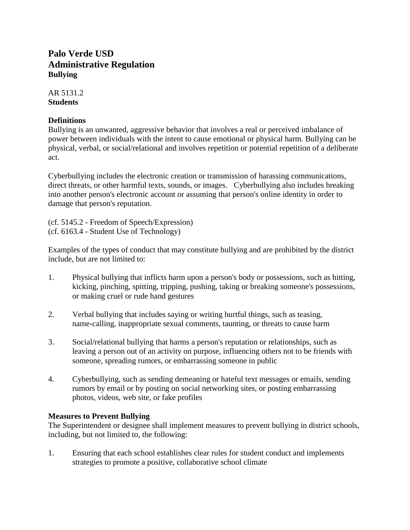# **Palo Verde USD Administrative Regulation Bullying**

AR 5131.2 **Students**

#### **Definitions**

Bullying is an unwanted, aggressive behavior that involves a real or perceived imbalance of power between individuals with the intent to cause emotional or physical harm. Bullying can be physical, verbal, or social/relational and involves repetition or potential repetition of a deliberate act.

Cyberbullying includes the electronic creation or transmission of harassing communications, direct threats, or other harmful texts, sounds, or images. Cyberbullying also includes breaking into another person's electronic account or assuming that person's online identity in order to damage that person's reputation.

(cf. 5145.2 - Freedom of Speech/Expression) (cf. 6163.4 - Student Use of Technology)

Examples of the types of conduct that may constitute bullying and are prohibited by the district include, but are not limited to:

- 1. Physical bullying that inflicts harm upon a person's body or possessions, such as hitting, kicking, pinching, spitting, tripping, pushing, taking or breaking someone's possessions, or making cruel or rude hand gestures
- 2. Verbal bullying that includes saying or writing hurtful things, such as teasing, name-calling, inappropriate sexual comments, taunting, or threats to cause harm
- 3. Social/relational bullying that harms a person's reputation or relationships, such as leaving a person out of an activity on purpose, influencing others not to be friends with someone, spreading rumors, or embarrassing someone in public
- 4. Cyberbullying, such as sending demeaning or hateful text messages or emails, sending rumors by email or by posting on social networking sites, or posting embarrassing photos, videos, web site, or fake profiles

# **Measures to Prevent Bullying**

The Superintendent or designee shall implement measures to prevent bullying in district schools, including, but not limited to, the following:

1. Ensuring that each school establishes clear rules for student conduct and implements strategies to promote a positive, collaborative school climate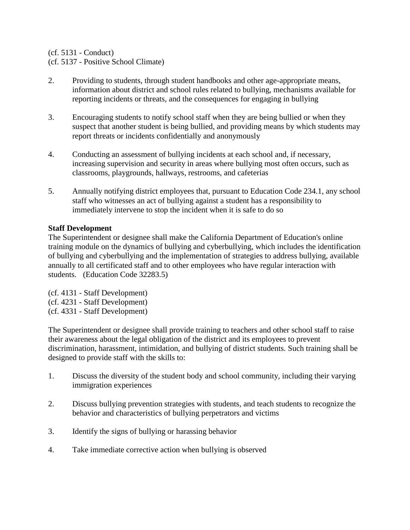#### (cf. 5131 - Conduct)

# (cf. 5137 - Positive School Climate)

- 2. Providing to students, through student handbooks and other age-appropriate means, information about district and school rules related to bullying, mechanisms available for reporting incidents or threats, and the consequences for engaging in bullying
- 3. Encouraging students to notify school staff when they are being bullied or when they suspect that another student is being bullied, and providing means by which students may report threats or incidents confidentially and anonymously
- 4. Conducting an assessment of bullying incidents at each school and, if necessary, increasing supervision and security in areas where bullying most often occurs, such as classrooms, playgrounds, hallways, restrooms, and cafeterias
- 5. Annually notifying district employees that, pursuant to Education Code 234.1, any school staff who witnesses an act of bullying against a student has a responsibility to immediately intervene to stop the incident when it is safe to do so

# **Staff Development**

The Superintendent or designee shall make the California Department of Education's online training module on the dynamics of bullying and cyberbullying, which includes the identification of bullying and cyberbullying and the implementation of strategies to address bullying, available annually to all certificated staff and to other employees who have regular interaction with students. (Education Code 32283.5)

(cf. 4131 - Staff Development) (cf. 4231 - Staff Development) (cf. 4331 - Staff Development)

The Superintendent or designee shall provide training to teachers and other school staff to raise their awareness about the legal obligation of the district and its employees to prevent discrimination, harassment, intimidation, and bullying of district students. Such training shall be designed to provide staff with the skills to:

- 1. Discuss the diversity of the student body and school community, including their varying immigration experiences
- 2. Discuss bullying prevention strategies with students, and teach students to recognize the behavior and characteristics of bullying perpetrators and victims
- 3. Identify the signs of bullying or harassing behavior
- 4. Take immediate corrective action when bullying is observed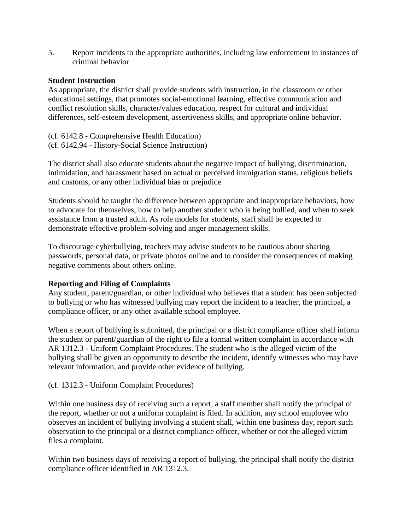5. Report incidents to the appropriate authorities, including law enforcement in instances of criminal behavior

#### **Student Instruction**

As appropriate, the district shall provide students with instruction, in the classroom or other educational settings, that promotes social-emotional learning, effective communication and conflict resolution skills, character/values education, respect for cultural and individual differences, self-esteem development, assertiveness skills, and appropriate online behavior.

(cf. 6142.8 - Comprehensive Health Education) (cf. 6142.94 - History-Social Science Instruction)

The district shall also educate students about the negative impact of bullying, discrimination, intimidation, and harassment based on actual or perceived immigration status, religious beliefs and customs, or any other individual bias or prejudice.

Students should be taught the difference between appropriate and inappropriate behaviors, how to advocate for themselves, how to help another student who is being bullied, and when to seek assistance from a trusted adult. As role models for students, staff shall be expected to demonstrate effective problem-solving and anger management skills.

To discourage cyberbullying, teachers may advise students to be cautious about sharing passwords, personal data, or private photos online and to consider the consequences of making negative comments about others online.

# **Reporting and Filing of Complaints**

Any student, parent/guardian, or other individual who believes that a student has been subjected to bullying or who has witnessed bullying may report the incident to a teacher, the principal, a compliance officer, or any other available school employee.

When a report of bullying is submitted, the principal or a district compliance officer shall inform the student or parent/guardian of the right to file a formal written complaint in accordance with AR 1312.3 - Uniform Complaint Procedures. The student who is the alleged victim of the bullying shall be given an opportunity to describe the incident, identify witnesses who may have relevant information, and provide other evidence of bullying.

# (cf. 1312.3 - Uniform Complaint Procedures)

Within one business day of receiving such a report, a staff member shall notify the principal of the report, whether or not a uniform complaint is filed. In addition, any school employee who observes an incident of bullying involving a student shall, within one business day, report such observation to the principal or a district compliance officer, whether or not the alleged victim files a complaint.

Within two business days of receiving a report of bullying, the principal shall notify the district compliance officer identified in AR 1312.3.